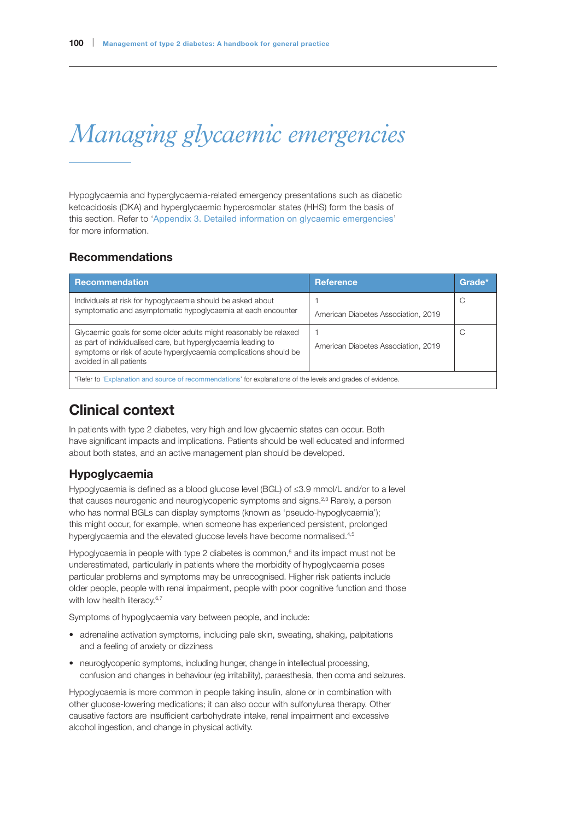# *Managing glycaemic emergencies*

Hypoglycaemia and hyperglycaemia-related emergency presentations such as diabetic ketoacidosis (DKA) and hyperglycaemic hyperosmolar states (HHS) form the basis of this section. Refer to 'Appendix 3. Detailed information on glycaemic emergencies' for more information.

## Recommendations

| <b>Recommendation</b>                                                                                                                                                                                                             | <b>Reference</b>                    | Grade* |
|-----------------------------------------------------------------------------------------------------------------------------------------------------------------------------------------------------------------------------------|-------------------------------------|--------|
| Individuals at risk for hypoglycaemia should be asked about<br>symptomatic and asymptomatic hypoglycaemia at each encounter                                                                                                       | American Diabetes Association, 2019 | C      |
| Glycaemic goals for some older adults might reasonably be relaxed<br>as part of individualised care, but hyperglycaemia leading to<br>symptoms or risk of acute hyperglycaemia complications should be<br>avoided in all patients | American Diabetes Association, 2019 | C      |
| *Refer to 'Explanation and source of recommendations' for explanations of the levels and grades of evidence.                                                                                                                      |                                     |        |

# Clinical context

In patients with type 2 diabetes, very high and low glycaemic states can occur. Both have significant impacts and implications. Patients should be well educated and informed about both states, and an active management plan should be developed.

## Hypoglycaemia

Hypoglycaemia is defined as a blood glucose level (BGL) of ≤3.9 mmol/L and/or to a level that causes neurogenic and neuroglycopenic symptoms and signs.<sup>2,3</sup> Rarely, a person who has normal BGLs can display symptoms (known as 'pseudo-hypoglycaemia'); this might occur, for example, when someone has experienced persistent, prolonged hyperglycaemia and the elevated glucose levels have become normalised.<sup>4,5</sup>

Hypoglycaemia in people with type 2 diabetes is common,<sup>5</sup> and its impact must not be underestimated, particularly in patients where the morbidity of hypoglycaemia poses particular problems and symptoms may be unrecognised. Higher risk patients include older people, people with renal impairment, people with poor cognitive function and those with low health literacy.<sup>6,7</sup>

Symptoms of hypoglycaemia vary between people, and include:

- adrenaline activation symptoms, including pale skin, sweating, shaking, palpitations and a feeling of anxiety or dizziness
- neuroglycopenic symptoms, including hunger, change in intellectual processing, confusion and changes in behaviour (eg irritability), paraesthesia, then coma and seizures.

Hypoglycaemia is more common in people taking insulin, alone or in combination with other glucose-lowering medications; it can also occur with sulfonylurea therapy. Other causative factors are insufficient carbohydrate intake, renal impairment and excessive alcohol ingestion, and change in physical activity.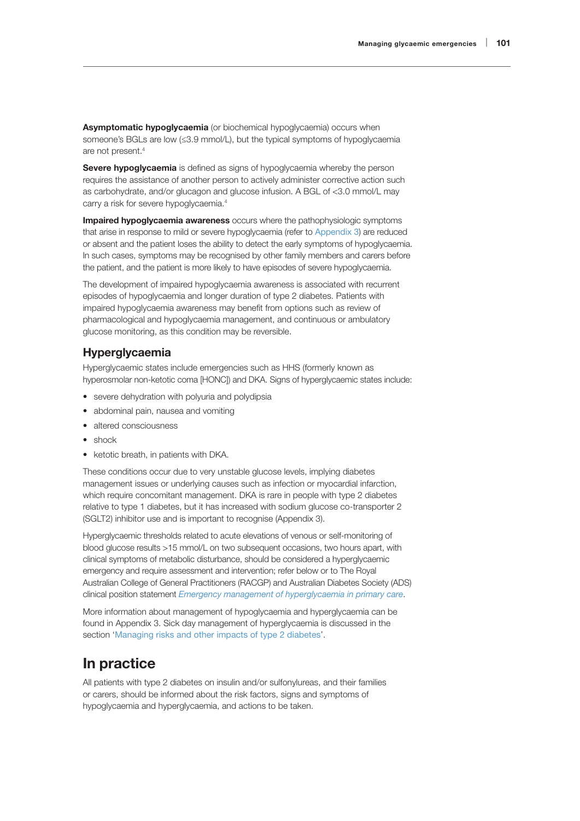Asymptomatic hypoglycaemia (or biochemical hypoglycaemia) occurs when someone's BGLs are low (≤3.9 mmol/L), but the typical symptoms of hypoglycaemia are not present.4

Severe hypoglycaemia is defined as signs of hypoglycaemia whereby the person requires the assistance of another person to actively administer corrective action such as carbohydrate, and/or glucagon and glucose infusion. A BGL of <3.0 mmol/L may carry a risk for severe hypoglycaemia.4

Impaired hypoglycaemia awareness occurs where the pathophysiologic symptoms that arise in response to mild or severe hypoglycaemia (refer to Appendix 3) are reduced or absent and the patient loses the ability to detect the early symptoms of hypoglycaemia. In such cases, symptoms may be recognised by other family members and carers before the patient, and the patient is more likely to have episodes of severe hypoglycaemia.

The development of impaired hypoglycaemia awareness is associated with recurrent episodes of hypoglycaemia and longer duration of type 2 diabetes. Patients with impaired hypoglycaemia awareness may benefit from options such as review of pharmacological and hypoglycaemia management, and continuous or ambulatory glucose monitoring, as this condition may be reversible.

## Hyperglycaemia

Hyperglycaemic states include emergencies such as HHS (formerly known as hyperosmolar non-ketotic coma [HONC]) and DKA. Signs of hyperglycaemic states include:

- severe dehydration with polyuria and polydipsia
- abdominal pain, nausea and vomiting
- altered consciousness
- shock
- ketotic breath, in patients with DKA.

These conditions occur due to very unstable glucose levels, implying diabetes management issues or underlying causes such as infection or myocardial infarction, which require concomitant management. DKA is rare in people with type 2 diabetes relative to type 1 diabetes, but it has increased with sodium glucose co-transporter 2 (SGLT2) inhibitor use and is important to recognise (Appendix 3).

Hyperglycaemic thresholds related to acute elevations of venous or self-monitoring of blood glucose results >15 mmol/L on two subsequent occasions, two hours apart, with clinical symptoms of metabolic disturbance, should be considered a hyperglycaemic emergency and require assessment and intervention; refer below or to The Royal Australian College of General Practitioners (RACGP) and Australian Diabetes Society (ADS) clinical position statement *[Emergency management of hyperglycaemia in primary care](https://www.racgp.org.au/FSDEDEV/media/documents/Clinical%20Resources/Guidelines/Management-of-hyperglycaemia.pdf)*.

More information about management of hypoglycaemia and hyperglycaemia can be found in Appendix 3. Sick day management of hyperglycaemia is discussed in the section 'Managing risks and other impacts of type 2 diabetes'.

# In practice

All patients with type 2 diabetes on insulin and/or sulfonylureas, and their families or carers, should be informed about the risk factors, signs and symptoms of hypoglycaemia and hyperglycaemia, and actions to be taken.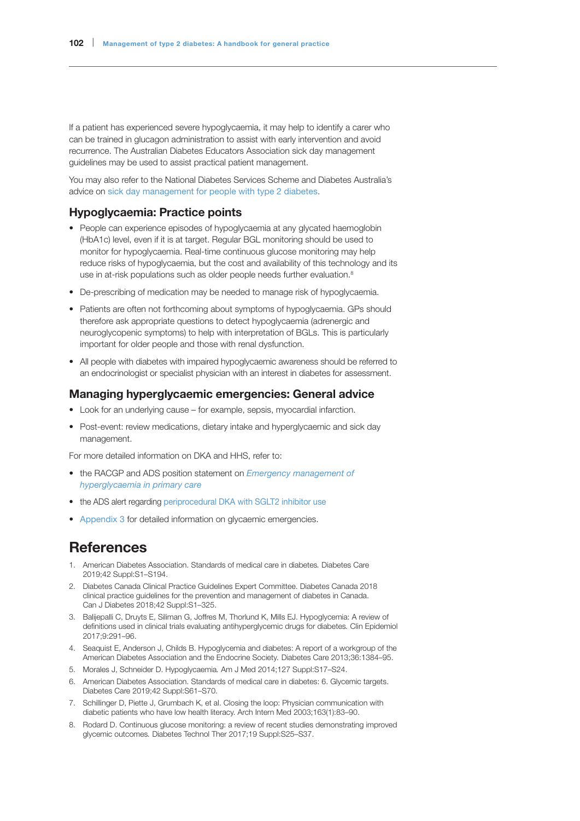If a patient has experienced severe hypoglycaemia, it may help to identify a carer who can be trained in glucagon administration to assist with early intervention and avoid recurrence. The Australian Diabetes Educators Association sick day management guidelines may be used to assist practical patient management.

You may also refer to the National Diabetes Services Scheme and Diabetes Australia's advice on [sick day management for people with type 2 diabetes](https://www.ndss.com.au/about-diabetes/resources/find-a-resource/managing-sick-days-for-type-2-diabetes-fact-sheet/).

### Hypoglycaemia: Practice points

- People can experience episodes of hypoglycaemia at any glycated haemoglobin (HbA1c) level, even if it is at target. Regular BGL monitoring should be used to monitor for hypoglycaemia. Real-time continuous glucose monitoring may help reduce risks of hypoglycaemia, but the cost and availability of this technology and its use in at-risk populations such as older people needs further evaluation.<sup>8</sup>
- De-prescribing of medication may be needed to manage risk of hypoglycaemia.
- Patients are often not forthcoming about symptoms of hypoglycaemia. GPs should therefore ask appropriate questions to detect hypoglycaemia (adrenergic and neuroglycopenic symptoms) to help with interpretation of BGLs. This is particularly important for older people and those with renal dysfunction.
- All people with diabetes with impaired hypoglycaemic awareness should be referred to an endocrinologist or specialist physician with an interest in diabetes for assessment.

#### Managing hyperglycaemic emergencies: General advice

- Look for an underlying cause for example, sepsis, myocardial infarction.
- Post-event: review medications, dietary intake and hyperglycaemic and sick day management.

For more detailed information on DKA and HHS, refer to:

- the RACGP and ADS position statement on *[Emergency management of](https://www.racgp.org.au/FSDEDEV/media/documents/Clinical%20Resources/Guidelines/Management-of-hyperglycaemia.pdf)  [hyperglycaemia in primary care](https://www.racgp.org.au/FSDEDEV/media/documents/Clinical%20Resources/Guidelines/Management-of-hyperglycaemia.pdf)*
- the ADS alert regarding [periprocedural DKA with SGLT2 inhibitor use](https://diabetessociety.com.au/documents/ADS_DKA_SGLT2i_Alert_update_2020.pdf)
- Appendix 3 for detailed information on glycaemic emergencies.

## References

- 1. American Diabetes Association. Standards of medical care in diabetes*.* Diabetes Care 2019;42 Suppl:S1–S194.
- 2. Diabetes Canada Clinical Practice Guidelines Expert Committee. Diabetes Canada 2018 clinical practice guidelines for the prevention and management of diabetes in Canada. Can J Diabetes 2018;42 Suppl:S1–325.
- 3. Balijepalli C, Druyts E, Siliman G, Joffres M, Thorlund K, Mills EJ. Hypoglycemia: A review of definitions used in clinical trials evaluating antihyperglycemic drugs for diabetes*.* Clin Epidemiol 2017;9:291–96.
- 4. Seaquist E, Anderson J, Childs B. Hypoglycemia and diabetes: A report of a workgroup of the American Diabetes Association and the Endocrine Society*.* Diabetes Care 2013;36:1384–95.
- 5. Morales J, Schneider D. Hypoglycaemia*.* Am J Med 2014;127 Suppl:S17–S24.
- 6. American Diabetes Association. Standards of medical care in diabetes: 6. Glycemic targets. Diabetes Care 2019;42 Suppl:S61–S70.
- 7. Schillinger D, Piette J, Grumbach K, et al. Closing the loop: Physician communication with diabetic patients who have low health literacy. Arch Intern Med 2003;163(1):83–90.
- 8. Rodard D. Continuous glucose monitoring: a review of recent studies demonstrating improved glycemic outcomes*.* Diabetes Technol Ther 2017;19 Suppl:S25–S37.